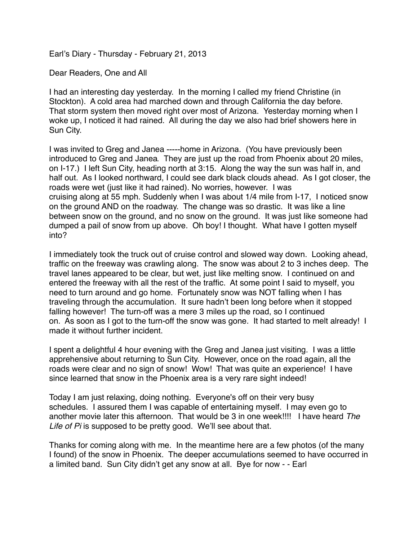Earl's Diary - Thursday - February 21, 2013

Dear Readers, One and All

I had an interesting day yesterday. In the morning I called my friend Christine (in Stockton). A cold area had marched down and through California the day before. That storm system then moved right over most of Arizona. Yesterday morning when I woke up, I noticed it had rained. All during the day we also had brief showers here in Sun City.

I was invited to Greg and Janea -----home in Arizona. (You have previously been introduced to Greg and Janea. They are just up the road from Phoenix about 20 miles, on I-17.) I left Sun City, heading north at 3:15. Along the way the sun was half in, and half out. As I looked northward, I could see dark black clouds ahead. As I got closer, the roads were wet (just like it had rained). No worries, however. I was cruising along at 55 mph. Suddenly when I was about 1/4 mile from I-17, I noticed snow on the ground AND on the roadway. The change was so drastic. It was like a line between snow on the ground, and no snow on the ground. It was just like someone had dumped a pail of snow from up above. Oh boy! I thought. What have I gotten myself into?

I immediately took the truck out of cruise control and slowed way down. Looking ahead, traffic on the freeway was crawling along. The snow was about 2 to 3 inches deep. The travel lanes appeared to be clear, but wet, just like melting snow. I continued on and entered the freeway with all the rest of the traffic. At some point I said to myself, you need to turn around and go home. Fortunately snow was NOT falling when I has traveling through the accumulation. It sure hadn't been long before when it stopped falling however! The turn-off was a mere 3 miles up the road, so I continued on. As soon as I got to the turn-off the snow was gone. It had started to melt already! I made it without further incident.

I spent a delightful 4 hour evening with the Greg and Janea just visiting. I was a little apprehensive about returning to Sun City. However, once on the road again, all the roads were clear and no sign of snow! Wow! That was quite an experience! I have since learned that snow in the Phoenix area is a very rare sight indeed!

Today I am just relaxing, doing nothing. Everyone's off on their very busy schedules. I assured them I was capable of entertaining myself. I may even go to another movie later this afternoon. That would be 3 in one week!!!! I have heard *The Life of Pi* is supposed to be pretty good. We'll see about that.

Thanks for coming along with me. In the meantime here are a few photos (of the many I found) of the snow in Phoenix. The deeper accumulations seemed to have occurred in a limited band. Sun City didn't get any snow at all. Bye for now - - Earl